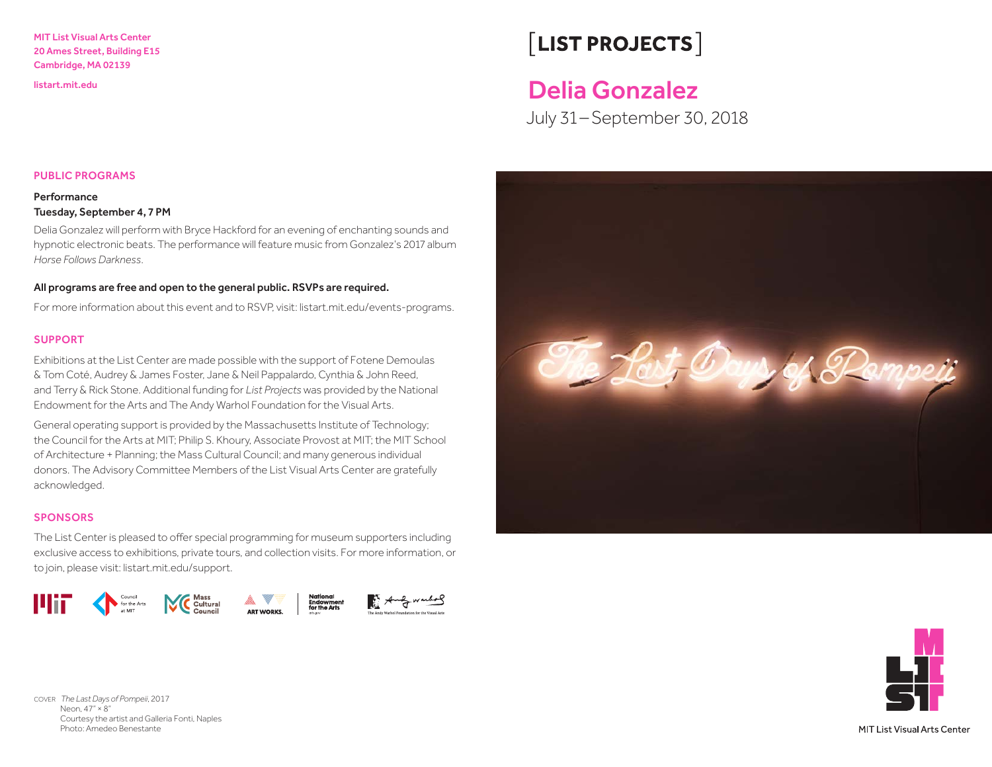#### MIT List Visual Arts Center 20 Ames Street, Building E15 Cambridge, MA 02139

# $\sqrt{\textsf{LIST PROJECTS}}$

## <listart.mit.edu>Delia Gonzalez

July 31 –September 30, 2018



#### **Performance**

#### Tuesday, September 4, 7 PM

Delia Gonzalez will perform with Bryce Hackford for an evening of enchanting sounds and hypnotic electronic beats. The performance will feature music from Gonzalez's 2017 album *Horse Follows Darkness*.

#### All programs are free and open to the general public. RSVPs are required.

For more information about this event and to RSVP, visit: listart.mit.edu/events-programs.

#### SUPPORT

Exhibitions at the List Center are made possible with the support of Fotene Demoulas & Tom Coté, Audrey & James Foster, Jane & Neil Pappalardo, Cynthia & John Reed, and Terry & Rick Stone. Additional funding for *List Projects* was provided by the National Endowment for the Arts and The Andy Warhol Foundation for the Visual Arts.

General operating support is provided by the Massachusetts Institute of Technology; the Council for the Arts at MIT; Philip S. Khoury, Associate Provost at MIT; the MIT School of Architecture + Planning; the Mass Cultural Council; and many generous individual donors. The Advisory Committee Members of the List Visual Arts Center are gratefully acknowledged.

#### **SPONSORS**

The List Center is pleased to offer special programming for museum supporters including exclusive access to exhibitions, private tours, and collection visits. For more information, or to join, please visit: [listart.mit.edu/support.](listart.mit.edu/support)







COVER *The Last Days of Pompeii*, 2017 Neon, 47" × 8" Courtesy the artist and Galleria Fonti, Naples Photo: Amedeo Benestante